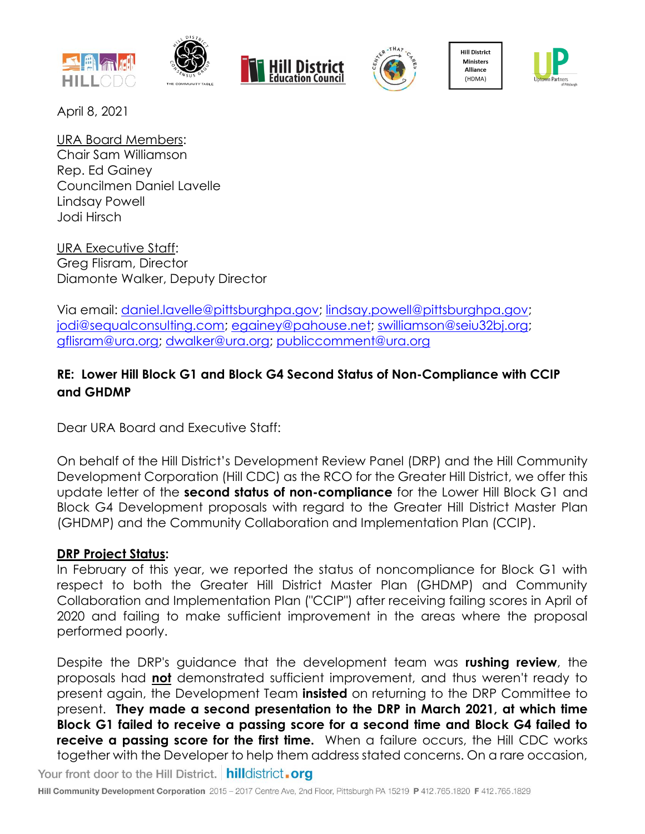







**Hill District** Ministers Alliance (HDMA)



April 8, 2021

URA Board Members: Chair Sam Williamson Rep. Ed Gainey Councilmen Daniel Lavelle Lindsay Powell Jodi Hirsch

URA Executive Staff: Greg Flisram, Director Diamonte Walker, Deputy Director

Via email: [daniel.lavelle@pittsburghpa.gov;](mailto:daniel.lavelle@pittsburghpa.gov) [lindsay.powell@pittsburghpa.gov;](mailto:lindsay.powell@pittsburghpa.gov) [jodi@sequalconsulting.com;](mailto:jodi@sequalconsulting.com) [egainey@pahouse.net;](mailto:egainey@pahouse.net) [swilliamson@seiu32bj.org;](mailto:swilliamson@seiu32bj.org) [gflisram@ura.org;](mailto:gflisram@ura.org) [dwalker@ura.org;](mailto:dwalker@ura.org) [publiccomment@ura.org](mailto:publiccomment@ura.org)

## **RE: Lower Hill Block G1 and Block G4 Second Status of Non-Compliance with CCIP and GHDMP**

Dear URA Board and Executive Staff:

On behalf of the Hill District's Development Review Panel (DRP) and the Hill Community Development Corporation (Hill CDC) as the RCO for the Greater Hill District, we offer this update letter of the **second status of non-compliance** for the Lower Hill Block G1 and Block G4 Development proposals with regard to the Greater Hill District Master Plan (GHDMP) and the Community Collaboration and Implementation Plan (CCIP).

### **DRP Project Status:**

In February of this year, we reported the status of noncompliance for Block G1 with respect to both the Greater Hill District Master Plan (GHDMP) and Community Collaboration and Implementation Plan ("CCIP") after receiving failing scores in April of 2020 and failing to make sufficient improvement in the areas where the proposal performed poorly.

Despite the DRP's guidance that the development team was **rushing review**, the proposals had **not** demonstrated sufficient improvement, and thus weren't ready to present again, the Development Team **insisted** on returning to the DRP Committee to present. **They made a second presentation to the DRP in March 2021, at which time Block G1 failed to receive a passing score for a second time and Block G4 failed to receive a passing score for the first time.** When a failure occurs, the Hill CDC works together with the Developer to help them address stated concerns. On a rare occasion, Your front door to the Hill District. hilldistrict.org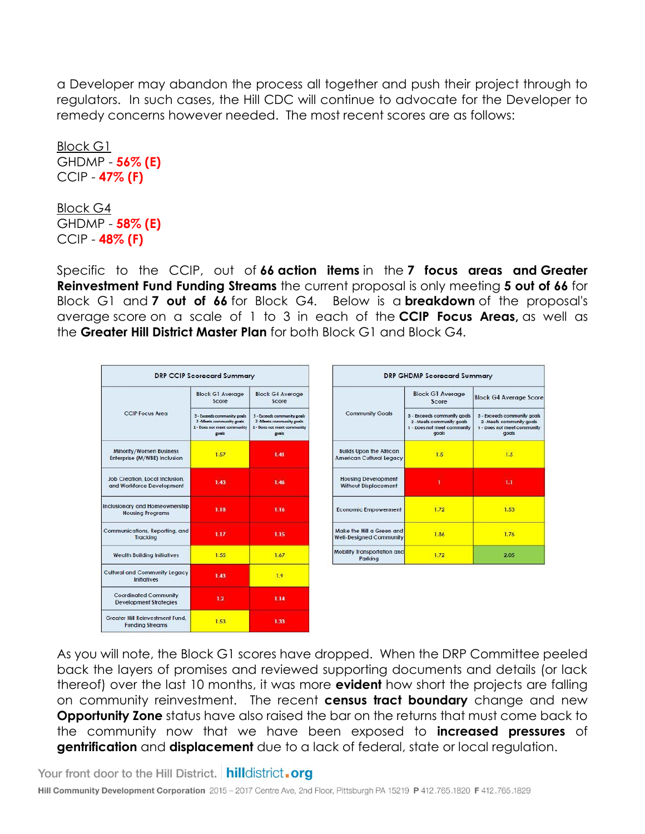a Developer may abandon the process all together and push their project through to regulators. In such cases, the Hill CDC will continue to advocate for the Developer to remedy concerns however needed.The most recent scores are as follows:

Block G1 GHDMP - **56% (E)** CCIP - **47% (F)**

Block G4 GHDMP - **58% (E)** CCIP - **48% (F)**

Specific to the CCIP, out of **66 action items** in the **7 focus areas and Greater Reinvestment Fund Funding Streams** the current proposal is only meeting **5 out of 66** for Block G1 and **7 out of 66** for Block G4. Below is a **breakdown** of the proposal's average score on a scale of 1 to 3 in each of the **CCIP Focus Areas,** as well as the **Greater Hill District Master Plan** for both Block G1 and Block G4.

| <b>DRP CCIP Scorecard Summary</b>                             |                                                                                                 |                                                                                                 |  |  |  |  |  |  |
|---------------------------------------------------------------|-------------------------------------------------------------------------------------------------|-------------------------------------------------------------------------------------------------|--|--|--|--|--|--|
|                                                               | <b>Block G1 Average</b><br>Score                                                                | <b>Block G4 Average</b><br>Score                                                                |  |  |  |  |  |  |
| <b>CCIP Focus Area</b>                                        | 3 - Exceeds community goals<br>2 -Meets community goals<br>1 - Does not meet community<br>goals | 3 - Exceeds community goals<br>2 -Meets community goals<br>1 - Does not meet community<br>goals |  |  |  |  |  |  |
| Minority/Women Business<br>Enterprise (M/WBE) Inclusion       | 1.57                                                                                            | 1.41                                                                                            |  |  |  |  |  |  |
| Job Creation, Local Inclusion.<br>and Workforce Development   | 1.43                                                                                            | 1.46                                                                                            |  |  |  |  |  |  |
| Inclusionary and Homeownership<br><b>Housing Programs</b>     | 1.18                                                                                            | 1.16                                                                                            |  |  |  |  |  |  |
| Communications, Reporting, and<br><b>Tracking</b>             | 1.17                                                                                            | 1.15                                                                                            |  |  |  |  |  |  |
| <b>Wealth Building Initiatives</b>                            | 1.55                                                                                            | 1.67                                                                                            |  |  |  |  |  |  |
| <b>Cultural and Community Legacy</b><br>Initiatives           | 1.43                                                                                            | 1.9                                                                                             |  |  |  |  |  |  |
| <b>Coordinated Community</b><br><b>Development Strategies</b> | 1.2 <sub>2</sub>                                                                                | 1.14                                                                                            |  |  |  |  |  |  |
| Greater Hill Reinvestment Fund.<br><b>Funding Streams</b>     | 1.53                                                                                            | 1.33                                                                                            |  |  |  |  |  |  |

|                                                                   | <b>Block G1 Average</b><br>Score                                                                 | <b>Block G4 Average Score</b>                                                                    |  |  |
|-------------------------------------------------------------------|--------------------------------------------------------------------------------------------------|--------------------------------------------------------------------------------------------------|--|--|
| <b>Community Goals</b>                                            | 3 - Exceeds community goals<br>2 - Meets community goals<br>1 - Does not meet community<br>gogls | 3 - Exceeds community goals<br>2 - Meets community goals<br>1 - Does not meet community<br>goals |  |  |
| <b>Builds Upon the African</b><br><b>American Cultural Legacy</b> | 1.5                                                                                              | 1.5                                                                                              |  |  |
| <b>Housing Development</b><br><b>Without Displacement</b>         |                                                                                                  | 1.1                                                                                              |  |  |
| <b>Economic Empowerment</b>                                       | 1.72                                                                                             | 1.53                                                                                             |  |  |
| Make the Hill a Green and<br><b>Well-Designed Community</b>       | 1.86                                                                                             | 1.76                                                                                             |  |  |
| <b>Mobility Transportation and</b><br>Parking                     | 1.72                                                                                             | 2.05                                                                                             |  |  |

As you will note, the Block G1 scores have dropped. When the DRP Committee peeled back the layers of promises and reviewed supporting documents and details (or lack thereof) over the last 10 months, it was more **evident** how short the projects are falling on community reinvestment. The recent **census tract boundary** change and new **Opportunity Zone** status have also raised the bar on the returns that must come back to the community now that we have been exposed to **increased pressures** of **gentrification** and **displacement** due to a lack of federal, state or local regulation.

Your front door to the Hill District. hilldistrict.org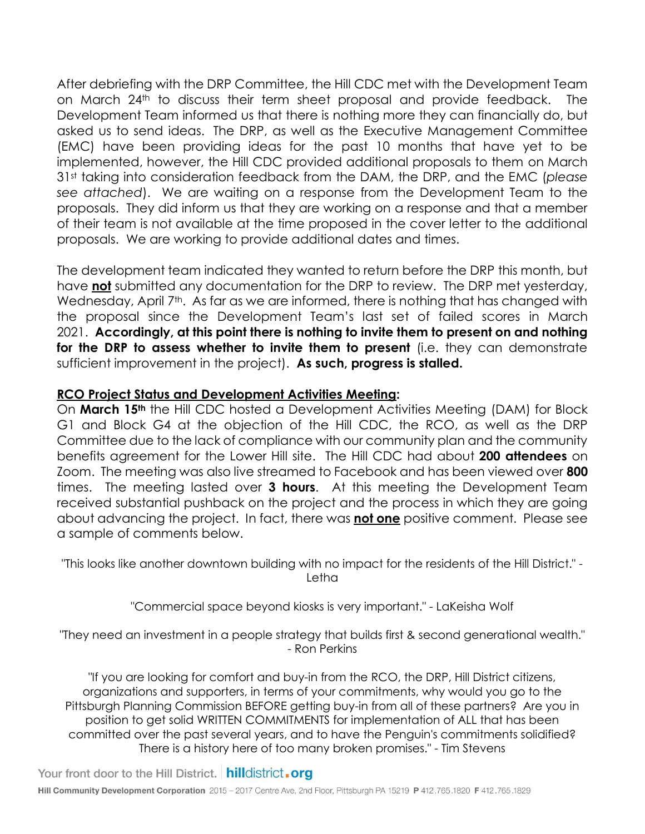After debriefing with the DRP Committee, the Hill CDC met with the Development Team on March 24th to discuss their term sheet proposal and provide feedback. The Development Team informed us that there is nothing more they can financially do, but asked us to send ideas. The DRP, as well as the Executive Management Committee (EMC) have been providing ideas for the past 10 months that have yet to be implemented, however, the Hill CDC provided additional proposals to them on March 31st taking into consideration feedback from the DAM, the DRP, and the EMC (*please see attached*). We are waiting on a response from the Development Team to the proposals. They did inform us that they are working on a response and that a member of their team is not available at the time proposed in the cover letter to the additional proposals. We are working to provide additional dates and times.

The development team indicated they wanted to return before the DRP this month, but have **not** submitted any documentation for the DRP to review. The DRP met yesterday, Wednesday, April 7<sup>th</sup>. As far as we are informed, there is nothing that has changed with the proposal since the Development Team's last set of failed scores in March 2021. **Accordingly, at this point there is nothing to invite them to present on and nothing for the DRP to assess whether to invite them to present** (i.e. they can demonstrate sufficient improvement in the project). **As such, progress is stalled.**

#### **RCO Project Status and Development Activities Meeting:**

On **March 15th** the Hill CDC hosted a Development Activities Meeting (DAM) for Block G1 and Block G4 at the objection of the Hill CDC, the RCO, as well as the DRP Committee due to the lack of compliance with our community plan and the community benefits agreement for the Lower Hill site. The Hill CDC had about **200 attendees** on Zoom. The meeting was also live streamed to Facebook and has been viewed over **800**  times. The meeting lasted over **3 hours**. At this meeting the Development Team received substantial pushback on the project and the process in which they are going about advancing the project. In fact, there was **not one** positive comment. Please see a sample of comments below.

"This looks like another downtown building with no impact for the residents of the Hill District." - Letha

"Commercial space beyond kiosks is very important." - LaKeisha Wolf

"They need an investment in a people strategy that builds first & second generational wealth." - Ron Perkins

"If you are looking for comfort and buy-in from the RCO, the DRP, Hill District citizens, organizations and supporters, in terms of your commitments, why would you go to the Pittsburgh Planning Commission BEFORE getting buy-in from all of these partners? Are you in position to get solid WRITTEN COMMITMENTS for implementation of ALL that has been committed over the past several years, and to have the Penguin's commitments solidified? There is a history here of too many broken promises." - Tim Stevens

Your front door to the Hill District. hilldistrict.org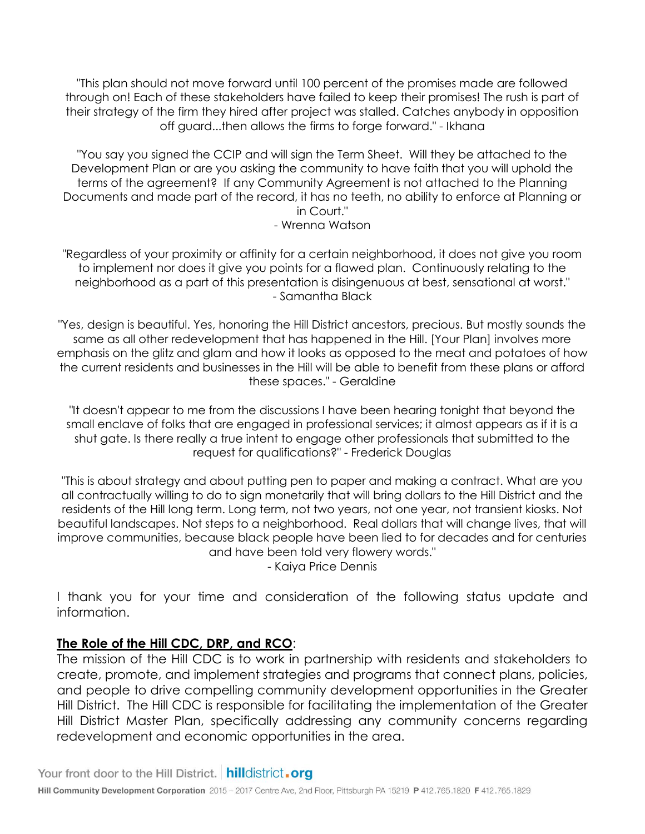"This plan should not move forward until 100 percent of the promises made are followed through on! Each of these stakeholders have failed to keep their promises! The rush is part of their strategy of the firm they hired after project was stalled. Catches anybody in opposition off guard...then allows the firms to forge forward." - Ikhana

"You say you signed the CCIP and will sign the Term Sheet. Will they be attached to the Development Plan or are you asking the community to have faith that you will uphold the terms of the agreement? If any Community Agreement is not attached to the Planning Documents and made part of the record, it has no teeth, no ability to enforce at Planning or in Court."

- Wrenna Watson

"Regardless of your proximity or affinity for a certain neighborhood, it does not give you room to implement nor does it give you points for a flawed plan. Continuously relating to the neighborhood as a part of this presentation is disingenuous at best, sensational at worst." - Samantha Black

"Yes, design is beautiful. Yes, honoring the Hill District ancestors, precious. But mostly sounds the same as all other redevelopment that has happened in the Hill. [Your Plan] involves more emphasis on the glitz and glam and how it looks as opposed to the meat and potatoes of how the current residents and businesses in the Hill will be able to benefit from these plans or afford these spaces." - Geraldine

"It doesn't appear to me from the discussions I have been hearing tonight that beyond the small enclave of folks that are engaged in professional services; it almost appears as if it is a shut gate. Is there really a true intent to engage other professionals that submitted to the request for qualifications?" - Frederick Douglas

"This is about strategy and about putting pen to paper and making a contract. What are you all contractually willing to do to sign monetarily that will bring dollars to the Hill District and the residents of the Hill long term. Long term, not two years, not one year, not transient kiosks. Not beautiful landscapes. Not steps to a neighborhood. Real dollars that will change lives, that will improve communities, because black people have been lied to for decades and for centuries and have been told very flowery words."

- Kaiya Price Dennis

I thank you for your time and consideration of the following status update and information.

#### **The Role of the Hill CDC, DRP, and RCO**:

The mission of the Hill CDC is to work in partnership with residents and stakeholders to create, promote, and implement strategies and programs that connect plans, policies, and people to drive compelling community development opportunities in the Greater Hill District. The Hill CDC is responsible for facilitating the implementation of the Greater Hill District Master Plan, specifically addressing any community concerns regarding redevelopment and economic opportunities in the area.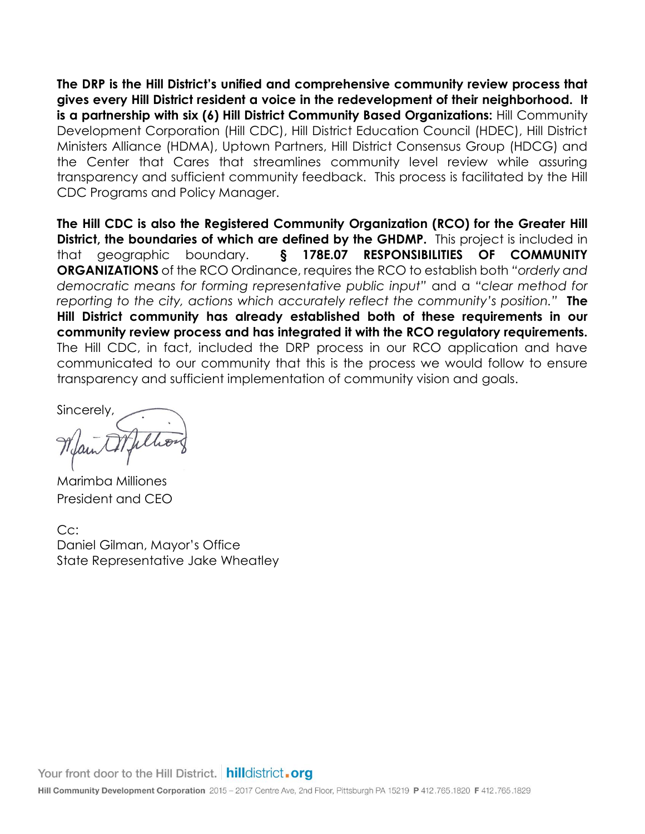**The DRP is the Hill District's unified and comprehensive community review process that gives every Hill District resident a voice in the redevelopment of their neighborhood. It is a partnership with six (6) Hill District Community Based Organizations:** Hill Community Development Corporation (Hill CDC), Hill District Education Council (HDEC), Hill District Ministers Alliance (HDMA), Uptown Partners, Hill District Consensus Group (HDCG) and the Center that Cares that streamlines community level review while assuring transparency and sufficient community feedback. This process is facilitated by the Hill CDC Programs and Policy Manager.

**The Hill CDC is also the Registered Community Organization (RCO) for the Greater Hill District, the boundaries of which are defined by the GHDMP.** This project is included in that geographic boundary. **§ 178E.07 RESPONSIBILITIES OF COMMUNITY ORGANIZATIONS** of the RCO Ordinance, requires the RCO to establish both *"orderly and democratic means for forming representative public input"* and a *"clear method for reporting to the city, actions which accurately reflect the community's position."* **The Hill District community has already established both of these requirements in our community review process and has integrated it with the RCO regulatory requirements.** The Hill CDC, in fact, included the DRP process in our RCO application and have communicated to our community that this is the process we would follow to ensure transparency and sufficient implementation of community vision and goals.

Sincerely,

Marimba Milliones President and CEO

Cc: Daniel Gilman, Mayor's Office State Representative Jake Wheatley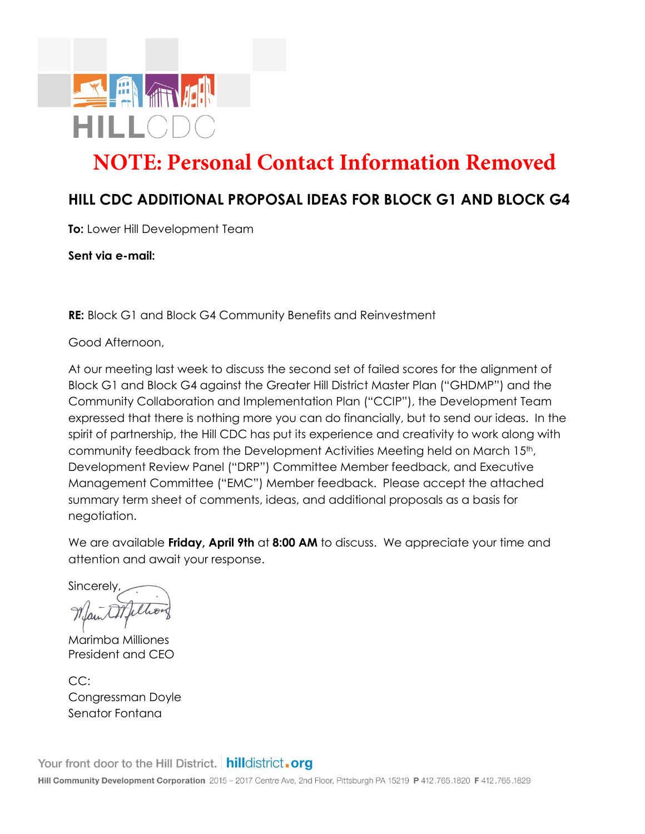

# **NOTE: Personal Contact Information Removed**

# **HILL CDC ADDITIONAL PROPOSAL IDEAS FOR BLOCK G1 AND BLOCK G4**

**To:** Lower Hill Development Team

**Sent via e-mail:**

**RE:** Block G1 and Block G4 Community Benefits and Reinvestment

Good Afternoon,

At our meeting last week to discuss the second set of failed scores for the alignment of Block G1 and Block G4 against the Greater Hill District Master Plan ("GHDMP") and the Community Collaboration and Implementation Plan ("CCIP"), the Development Team expressed that there is nothing more you can do financially, but to send our ideas. In the spirit of partnership, the Hill CDC has put its experience and creativity to work along with community feedback from the Development Activities Meeting held on March 15th, Development Review Panel ("DRP") Committee Member feedback, and Executive Management Committee ("EMC") Member feedback. Please accept the attached summary term sheet of comments, ideas, and additional proposals as a basis for negotiation.

We are available **Friday, April 9th** at **8:00 AM** to discuss. We appreciate your time and attention and await your response.

**Sincerely** 

Marimba Milliones President and CEO

CC: Congressman Doyle Senator Fontana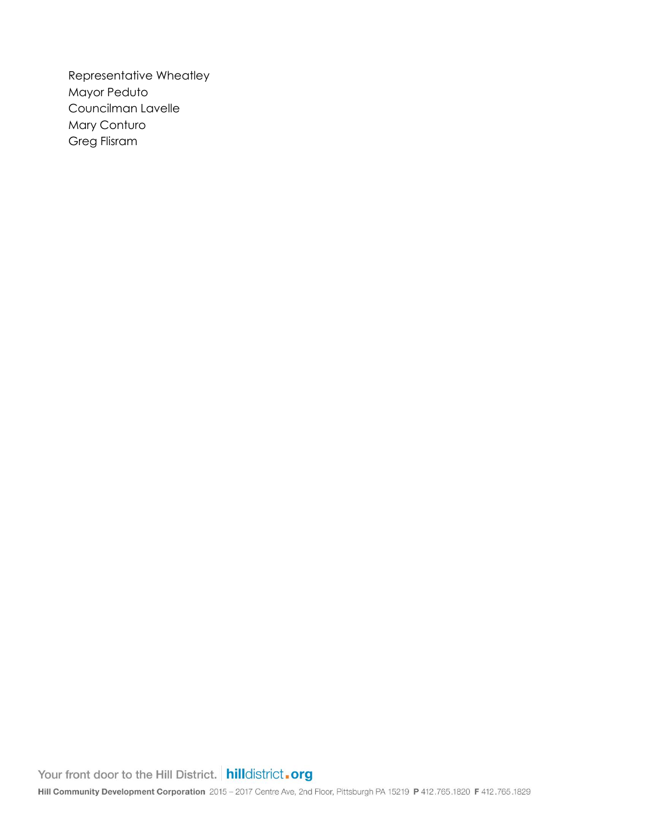Representative Wheatley Mayor Peduto Councilman Lavelle Mary Conturo Greg Flisram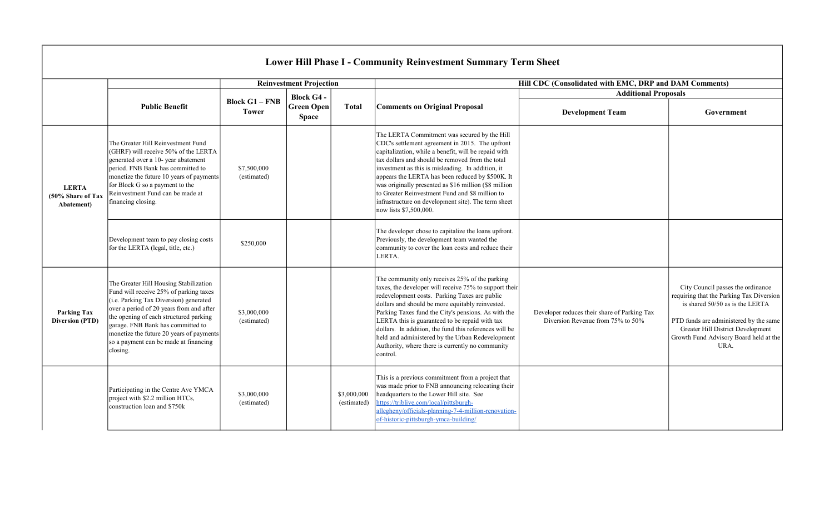|                                                 |                                                                                                                                                                                                                                                                                                                                                        |                                       |                                   |                            | <b>Lower Hill Phase I - Community Reinvestment Summary Term Sheet</b>                                                                                                                                                                                                                                                                                                                                                                                                                                             |                                                                                   |                                                                                                                                                                                                                                                   |  |
|-------------------------------------------------|--------------------------------------------------------------------------------------------------------------------------------------------------------------------------------------------------------------------------------------------------------------------------------------------------------------------------------------------------------|---------------------------------------|-----------------------------------|----------------------------|-------------------------------------------------------------------------------------------------------------------------------------------------------------------------------------------------------------------------------------------------------------------------------------------------------------------------------------------------------------------------------------------------------------------------------------------------------------------------------------------------------------------|-----------------------------------------------------------------------------------|---------------------------------------------------------------------------------------------------------------------------------------------------------------------------------------------------------------------------------------------------|--|
|                                                 |                                                                                                                                                                                                                                                                                                                                                        |                                       | <b>Reinvestment Projection</b>    |                            |                                                                                                                                                                                                                                                                                                                                                                                                                                                                                                                   | Hill CDC (Consolidated with EMC, DRP and DAM Comments)                            |                                                                                                                                                                                                                                                   |  |
|                                                 |                                                                                                                                                                                                                                                                                                                                                        |                                       | <b>Block G4 -</b>                 |                            |                                                                                                                                                                                                                                                                                                                                                                                                                                                                                                                   | <b>Additional Proposals</b>                                                       |                                                                                                                                                                                                                                                   |  |
|                                                 | <b>Public Benefit</b>                                                                                                                                                                                                                                                                                                                                  | <b>Block G1 - FNB</b><br><b>Tower</b> | <b>Green Open</b><br><b>Space</b> | <b>Total</b>               | <b>Comments on Original Proposal</b>                                                                                                                                                                                                                                                                                                                                                                                                                                                                              | <b>Development Team</b>                                                           | Government                                                                                                                                                                                                                                        |  |
| <b>LERTA</b><br>(50% Share of Tax<br>Abatement) | The Greater Hill Reinvestment Fund<br>(GHRF) will receive 50% of the LERTA<br>generated over a 10- year abatement<br>period. FNB Bank has committed to<br>monetize the future 10 years of payments<br>for Block G so a payment to the<br>Reinvestment Fund can be made at<br>financing closing.                                                        | \$7,500,000<br>(estimated)            |                                   |                            | The LERTA Commitment was secured by the Hill<br>CDC's settlement agreement in 2015. The upfront<br>capitalization, while a benefit, will be repaid with<br>tax dollars and should be removed from the total<br>investment as this is misleading. In addition, it<br>appears the LERTA has been reduced by \$500K. It<br>was originally presented as \$16 million (\$8 million<br>to Greater Reinvestment Fund and \$8 million to<br>infrastructure on development site). The term sheet<br>now lists \$7,500,000. |                                                                                   |                                                                                                                                                                                                                                                   |  |
|                                                 | Development team to pay closing costs<br>for the LERTA (legal, title, etc.)                                                                                                                                                                                                                                                                            | \$250,000                             |                                   |                            | The developer chose to capitalize the loans upfront.<br>Previously, the development team wanted the<br>community to cover the loan costs and reduce their<br>LERTA.                                                                                                                                                                                                                                                                                                                                               |                                                                                   |                                                                                                                                                                                                                                                   |  |
| <b>Parking Tax</b><br><b>Diversion (PTD)</b>    | The Greater Hill Housing Stabilization<br>Fund will receive 25% of parking taxes<br>(i.e. Parking Tax Diversion) generated<br>over a period of 20 years from and after<br>the opening of each structured parking<br>garage. FNB Bank has committed to<br>monetize the future 20 years of payments<br>so a payment can be made at financing<br>closing. | \$3,000,000<br>(estimated)            |                                   |                            | The community only receives 25% of the parking<br>taxes, the developer will receive 75% to support their<br>redevelopment costs. Parking Taxes are public<br>dollars and should be more equitably reinvested.<br>Parking Taxes fund the City's pensions. As with the<br>LERTA this is guaranteed to be repaid with tax<br>dollars. In addition, the fund this references will be<br>held and administered by the Urban Redevelopment<br>Authority, where there is currently no community<br>control.              | Developer reduces their share of Parking Tax<br>Diversion Revenue from 75% to 50% | City Council passes the ordinance<br>requiring that the Parking Tax Diversion<br>is shared 50/50 as is the LERTA<br>PTD funds are administered by the same<br>Greater Hill District Development<br>Growth Fund Advisory Board held at the<br>URA. |  |
|                                                 | Participating in the Centre Ave YMCA<br>project with \$2.2 million HTCs,<br>construction loan and \$750k                                                                                                                                                                                                                                               | \$3,000,000<br>(estimated)            |                                   | \$3,000,000<br>(estimated) | This is a previous commitment from a project that<br>was made prior to FNB announcing relocating their<br>headquarters to the Lower Hill site. See<br>https://triblive.com/local/pittsburgh-<br>allegheny/officials-planning-7-4-million-renovation-<br>of-historic-pittsburgh-ymca-building/                                                                                                                                                                                                                     |                                                                                   |                                                                                                                                                                                                                                                   |  |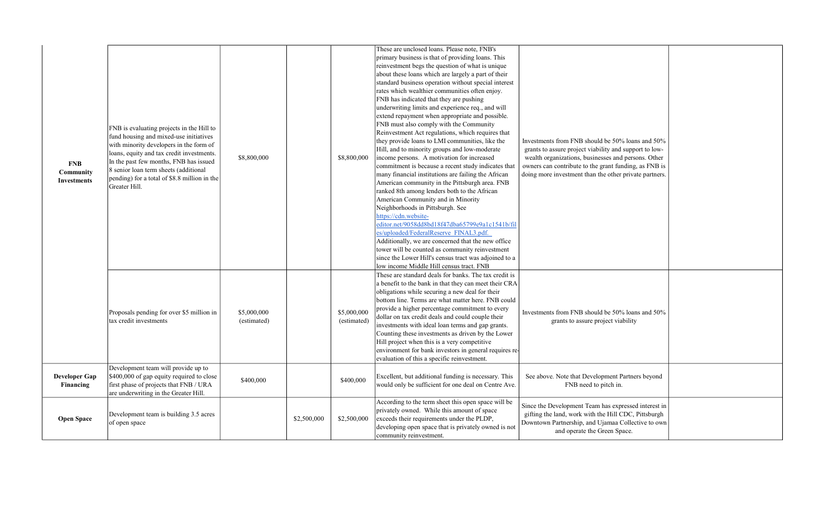| <b>FNB</b><br>Community<br><b>Investments</b> | FNB is evaluating projects in the Hill to<br>fund housing and mixed-use initiatives<br>with minority developers in the form of<br>loans, equity and tax credit investments.<br>In the past few months, FNB has issued<br>8 senior loan term sheets (additional<br>pending) for a total of \$8.8 million in the<br>Greater Hill. | \$8,800,000                |             | \$8,800,000                | These are unclosed loans. Please note, FNB's<br>primary business is that of providing loans. This<br>reinvestment begs the question of what is unique<br>about these loans which are largely a part of their<br>standard business operation without special interest<br>rates which wealthier communities often enjoy.<br>FNB has indicated that they are pushing<br>underwriting limits and experience req., and will<br>extend repayment when appropriate and possible.<br>FNB must also comply with the Community<br>Reinvestment Act regulations, which requires that<br>they provide loans to LMI communities, like the<br>Hill, and to minority groups and low-moderate<br>income persons. A motivation for increased<br>commitment is because a recent study indicates that<br>many financial institutions are failing the African<br>American community in the Pittsburgh area. FNB<br>ranked 8th among lenders both to the African<br>American Community and in Minority<br>Neighborhoods in Pittsburgh. See<br>https://cdn.website-<br>editor.net/9058dd8bd18f47dba65799e9a1c1541b/fil<br>es/uploaded/FederalReserve FINAL3.pdf.<br>Additionally, we are concerned that the new office<br>tower will be counted as community reinvestment<br>since the Lower Hill's census tract was adjoined to a<br>low income Middle Hill census tract. FNB | Investments from FNB should be 50% loans and 50%<br>grants to assure project viability and support to low-<br>wealth organizations, businesses and persons. Other<br>owners can contribute to the grant funding, as FNB is<br>doing more investment than the other private partners. |  |
|-----------------------------------------------|---------------------------------------------------------------------------------------------------------------------------------------------------------------------------------------------------------------------------------------------------------------------------------------------------------------------------------|----------------------------|-------------|----------------------------|----------------------------------------------------------------------------------------------------------------------------------------------------------------------------------------------------------------------------------------------------------------------------------------------------------------------------------------------------------------------------------------------------------------------------------------------------------------------------------------------------------------------------------------------------------------------------------------------------------------------------------------------------------------------------------------------------------------------------------------------------------------------------------------------------------------------------------------------------------------------------------------------------------------------------------------------------------------------------------------------------------------------------------------------------------------------------------------------------------------------------------------------------------------------------------------------------------------------------------------------------------------------------------------------------------------------------------------------------------|--------------------------------------------------------------------------------------------------------------------------------------------------------------------------------------------------------------------------------------------------------------------------------------|--|
|                                               | Proposals pending for over \$5 million in<br>tax credit investments                                                                                                                                                                                                                                                             | \$5,000,000<br>(estimated) |             | \$5,000,000<br>(estimated) | These are standard deals for banks. The tax credit is<br>a benefit to the bank in that they can meet their CRA<br>obligations while securing a new deal for their<br>bottom line. Terms are what matter here. FNB could<br>provide a higher percentage commitment to every<br>dollar on tax credit deals and could couple their<br>investments with ideal loan terms and gap grants.<br>Counting these investments as driven by the Lower<br>Hill project when this is a very competitive<br>environment for bank investors in general requires re-<br>evaluation of this a specific reinvestment.                                                                                                                                                                                                                                                                                                                                                                                                                                                                                                                                                                                                                                                                                                                                                       | Investments from FNB should be 50% loans and 50%<br>grants to assure project viability                                                                                                                                                                                               |  |
| <b>Developer Gap</b><br>Financing             | Development team will provide up to<br>\$400,000 of gap equity required to close<br>first phase of projects that FNB / URA<br>are underwriting in the Greater Hill.                                                                                                                                                             | \$400,000                  |             | \$400,000                  | Excellent, but additional funding is necessary. This<br>would only be sufficient for one deal on Centre Ave.                                                                                                                                                                                                                                                                                                                                                                                                                                                                                                                                                                                                                                                                                                                                                                                                                                                                                                                                                                                                                                                                                                                                                                                                                                             | See above. Note that Development Partners beyond<br>FNB need to pitch in.                                                                                                                                                                                                            |  |
| <b>Open Space</b>                             | Development team is building 3.5 acres<br>of open space                                                                                                                                                                                                                                                                         |                            | \$2,500,000 | \$2,500,000                | According to the term sheet this open space will be<br>privately owned. While this amount of space<br>exceeds their requirements under the PLDP,<br>developing open space that is privately owned is not<br>community reinvestment.                                                                                                                                                                                                                                                                                                                                                                                                                                                                                                                                                                                                                                                                                                                                                                                                                                                                                                                                                                                                                                                                                                                      | Since the Development Team has expressed interest in<br>gifting the land, work with the Hill CDC, Pittsburgh<br>Downtown Partnership, and Ujamaa Collective to own<br>and operate the Green Space.                                                                                   |  |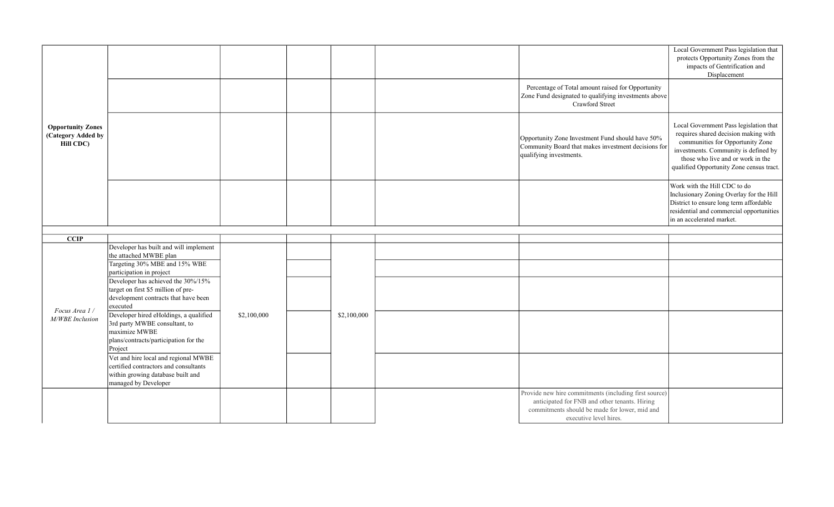|                                                             |                                                                                                                                              |             |             |                                                                                                                                                                                   | Local Government Pass legislation that<br>protects Opportunity Zones from the<br>impacts of Gentrification and<br>Displacement                                                                                                              |
|-------------------------------------------------------------|----------------------------------------------------------------------------------------------------------------------------------------------|-------------|-------------|-----------------------------------------------------------------------------------------------------------------------------------------------------------------------------------|---------------------------------------------------------------------------------------------------------------------------------------------------------------------------------------------------------------------------------------------|
|                                                             |                                                                                                                                              |             |             | Percentage of Total amount raised for Opportunity<br>Zone Fund designated to qualifying investments above<br>Crawford Street                                                      |                                                                                                                                                                                                                                             |
| <b>Opportunity Zones</b><br>(Category Added by<br>Hill CDC) |                                                                                                                                              |             |             | Opportunity Zone Investment Fund should have 50%<br>Community Board that makes investment decisions for<br>qualifying investments.                                                | Local Government Pass legislation that<br>requires shared decision making with<br>communities for Opportunity Zone<br>investments. Community is defined by<br>those who live and or work in the<br>qualified Opportunity Zone census tract. |
|                                                             |                                                                                                                                              |             |             |                                                                                                                                                                                   | Work with the Hill CDC to do<br>Inclusionary Zoning Overlay for the Hill<br>District to ensure long term affordable<br>residential and commercial opportunities<br>in an accelerated market.                                                |
|                                                             |                                                                                                                                              |             |             |                                                                                                                                                                                   |                                                                                                                                                                                                                                             |
| $\overline{CCIP}$                                           | Developer has built and will implement                                                                                                       |             |             |                                                                                                                                                                                   |                                                                                                                                                                                                                                             |
|                                                             | the attached MWBE plan                                                                                                                       |             |             |                                                                                                                                                                                   |                                                                                                                                                                                                                                             |
|                                                             | Targeting 30% MBE and 15% WBE<br>participation in project                                                                                    |             |             |                                                                                                                                                                                   |                                                                                                                                                                                                                                             |
| Focus Area 1/                                               | Developer has achieved the 30%/15%<br>target on first \$5 million of pre-<br>development contracts that have been<br>executed                |             |             |                                                                                                                                                                                   |                                                                                                                                                                                                                                             |
| M/WBE Inclusion                                             | Developer hired eHoldings, a qualified<br>3rd party MWBE consultant, to<br>maximize MWBE<br>plans/contracts/participation for the<br>Project | \$2,100,000 | \$2,100,000 |                                                                                                                                                                                   |                                                                                                                                                                                                                                             |
|                                                             | Vet and hire local and regional MWBE<br>certified contractors and consultants<br>within growing database built and<br>managed by Developer   |             |             |                                                                                                                                                                                   |                                                                                                                                                                                                                                             |
|                                                             |                                                                                                                                              |             |             | Provide new hire commitments (including first source)<br>anticipated for FNB and other tenants. Hiring<br>commitments should be made for lower, mid and<br>executive level hires. |                                                                                                                                                                                                                                             |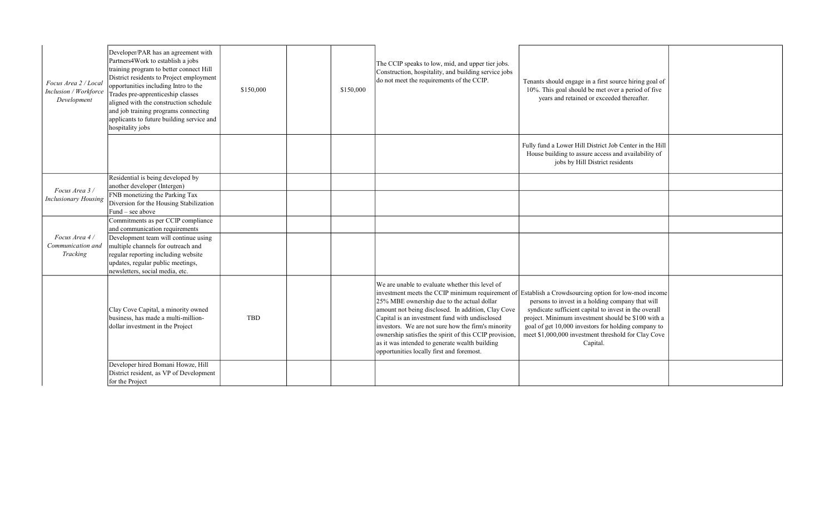| Focus Area 2 / Local<br>Inclusion / Workforce<br>Development | Developer/PAR has an agreement with<br>Partners4Work to establish a jobs<br>training program to better connect Hill<br>District residents to Project employment<br>opportunities including Intro to the<br>Trades pre-apprenticeship classes<br>aligned with the construction schedule<br>and job training programs connecting<br>applicants to future building service and<br>hospitality jobs | \$150,000  | \$150,000 | The CCIP speaks to low, mid, and upper tier jobs.<br>Construction, hospitality, and building service jobs<br>do not meet the requirements of the CCIP.                                                                                                                                                                                                                                                               | Tenants should engage in a first source hiring goal of<br>10%. This goal should be met over a period of five<br>years and retained or exceeded thereafter.                                                                                                                                                                                                                                        |  |
|--------------------------------------------------------------|-------------------------------------------------------------------------------------------------------------------------------------------------------------------------------------------------------------------------------------------------------------------------------------------------------------------------------------------------------------------------------------------------|------------|-----------|----------------------------------------------------------------------------------------------------------------------------------------------------------------------------------------------------------------------------------------------------------------------------------------------------------------------------------------------------------------------------------------------------------------------|---------------------------------------------------------------------------------------------------------------------------------------------------------------------------------------------------------------------------------------------------------------------------------------------------------------------------------------------------------------------------------------------------|--|
|                                                              |                                                                                                                                                                                                                                                                                                                                                                                                 |            |           |                                                                                                                                                                                                                                                                                                                                                                                                                      | Fully fund a Lower Hill District Job Center in the Hill<br>House building to assure access and availability of<br>jobs by Hill District residents                                                                                                                                                                                                                                                 |  |
|                                                              | Residential is being developed by<br>another developer (Intergen)                                                                                                                                                                                                                                                                                                                               |            |           |                                                                                                                                                                                                                                                                                                                                                                                                                      |                                                                                                                                                                                                                                                                                                                                                                                                   |  |
| Focus Area 3 /<br><b>Inclusionary Housing</b>                | FNB monetizing the Parking Tax<br>Diversion for the Housing Stabilization<br>Fund – see above                                                                                                                                                                                                                                                                                                   |            |           |                                                                                                                                                                                                                                                                                                                                                                                                                      |                                                                                                                                                                                                                                                                                                                                                                                                   |  |
|                                                              | Commitments as per CCIP compliance<br>and communication requirements                                                                                                                                                                                                                                                                                                                            |            |           |                                                                                                                                                                                                                                                                                                                                                                                                                      |                                                                                                                                                                                                                                                                                                                                                                                                   |  |
| Focus Area 4/<br>Communication and<br>Tracking               | Development team will continue using<br>multiple channels for outreach and<br>regular reporting including website<br>updates, regular public meetings,<br>newsletters, social media, etc.                                                                                                                                                                                                       |            |           |                                                                                                                                                                                                                                                                                                                                                                                                                      |                                                                                                                                                                                                                                                                                                                                                                                                   |  |
|                                                              | Clay Cove Capital, a minority owned<br>business, has made a multi-million-<br>dollar investment in the Project                                                                                                                                                                                                                                                                                  | <b>TBD</b> |           | We are unable to evaluate whether this level of<br>25% MBE ownership due to the actual dollar<br>amount not being disclosed. In addition, Clay Cove<br>Capital is an investment fund with undisclosed<br>investors. We are not sure how the firm's minority<br>ownership satisfies the spirit of this CCIP provision,<br>as it was intended to generate wealth building<br>opportunities locally first and foremost. | investment meets the CCIP minimum requirement of Establish a Crowdsourcing option for low-mod income<br>persons to invest in a holding company that will<br>syndicate sufficient capital to invest in the overall<br>project. Minimum investment should be \$100 with a<br>goal of get 10,000 investors for holding company to<br>meet \$1,000,000 investment threshold for Clay Cove<br>Capital. |  |
|                                                              | Developer hired Bomani Howze, Hill<br>District resident, as VP of Development<br>for the Project                                                                                                                                                                                                                                                                                                |            |           |                                                                                                                                                                                                                                                                                                                                                                                                                      |                                                                                                                                                                                                                                                                                                                                                                                                   |  |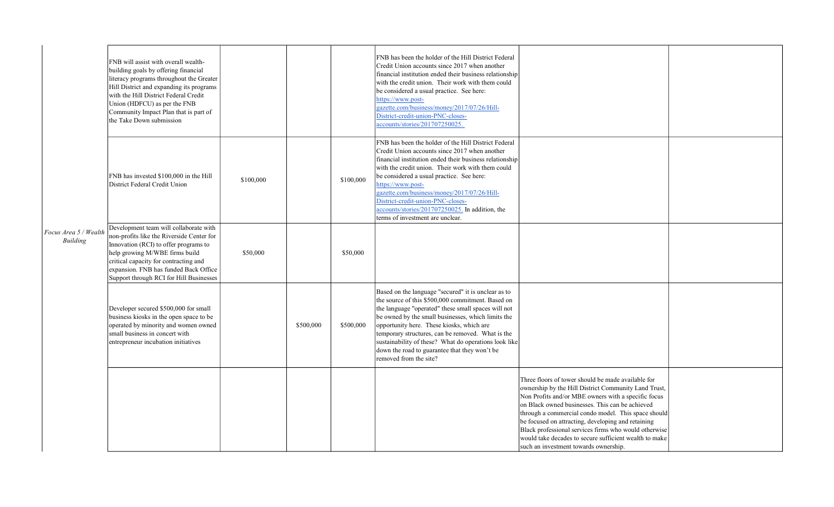|                                   | FNB will assist with overall wealth-<br>building goals by offering financial<br>literacy programs throughout the Greater<br>Hill District and expanding its programs<br>with the Hill District Federal Credit<br>Union (HDFCU) as per the FNB<br>Community Impact Plan that is part of<br>the Take Down submission |           |           |           | FNB has been the holder of the Hill District Federal<br>Credit Union accounts since 2017 when another<br>financial institution ended their business relationship<br>with the credit union. Their work with them could<br>be considered a usual practice. See here:<br>https://www.post-<br>gazette.com/business/money/2017/07/26/Hill-<br>District-credit-union-PNC-closes-<br>accounts/stories/201707250025.                                                      |                                                                                                                                                                                                                                                                                                                                                                                                                                                                                               |  |
|-----------------------------------|--------------------------------------------------------------------------------------------------------------------------------------------------------------------------------------------------------------------------------------------------------------------------------------------------------------------|-----------|-----------|-----------|--------------------------------------------------------------------------------------------------------------------------------------------------------------------------------------------------------------------------------------------------------------------------------------------------------------------------------------------------------------------------------------------------------------------------------------------------------------------|-----------------------------------------------------------------------------------------------------------------------------------------------------------------------------------------------------------------------------------------------------------------------------------------------------------------------------------------------------------------------------------------------------------------------------------------------------------------------------------------------|--|
|                                   | FNB has invested \$100,000 in the Hill<br>District Federal Credit Union                                                                                                                                                                                                                                            | \$100,000 |           | \$100,000 | FNB has been the holder of the Hill District Federal<br>Credit Union accounts since 2017 when another<br>financial institution ended their business relationship<br>with the credit union. Their work with them could<br>be considered a usual practice. See here:<br>https://www.post-<br>gazette.com/business/money/2017/07/26/Hill-<br>District-credit-union-PNC-closes-<br>accounts/stories/201707250025. In addition, the<br>terms of investment are unclear. |                                                                                                                                                                                                                                                                                                                                                                                                                                                                                               |  |
| Focus Area 5 / Wealth<br>Building | Development team will collaborate with<br>non-profits like the Riverside Center for<br>Innovation (RCI) to offer programs to<br>help growing M/WBE firms build<br>critical capacity for contracting and<br>expansion. FNB has funded Back Office<br>Support through RCI for Hill Businesses                        | \$50,000  |           | \$50,000  |                                                                                                                                                                                                                                                                                                                                                                                                                                                                    |                                                                                                                                                                                                                                                                                                                                                                                                                                                                                               |  |
|                                   | Developer secured \$500,000 for small<br>business kiosks in the open space to be<br>operated by minority and women owned<br>small business in concert with<br>entrepreneur incubation initiatives                                                                                                                  |           | \$500,000 | \$500,000 | Based on the language "secured" it is unclear as to<br>the source of this \$500,000 commitment. Based on<br>the language "operated" these small spaces will not<br>be owned by the small businesses, which limits the<br>opportunity here. These kiosks, which are<br>temporary structures, can be removed. What is the<br>sustainability of these? What do operations look like<br>down the road to guarantee that they won't be<br>removed from the site?        |                                                                                                                                                                                                                                                                                                                                                                                                                                                                                               |  |
|                                   |                                                                                                                                                                                                                                                                                                                    |           |           |           |                                                                                                                                                                                                                                                                                                                                                                                                                                                                    | Three floors of tower should be made available for<br>ownership by the Hill District Community Land Trust,<br>Non Profits and/or MBE owners with a specific focus<br>on Black owned businesses. This can be achieved<br>through a commercial condo model. This space should<br>be focused on attracting, developing and retaining<br>Black professional services firms who would otherwise<br>would take decades to secure sufficient wealth to make<br>such an investment towards ownership. |  |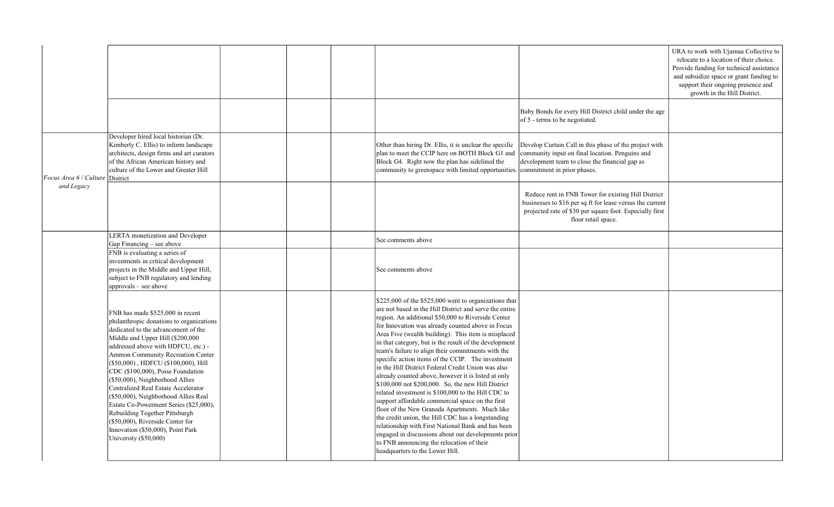|                                 |                                                                                                                                                                                                                                                                                                                                                                                                                                                                                                                                                                                                                 |  |                                                                                                                                                                                                                                                                                                                                                                                                                                                                                                                                                                                                                                                                                                                                                                                                                                                                                                                                                                                                                                          |                                                                                                                                                                                                     | URA to work with Ujamaa Collective to<br>relocate to a location of their choice.<br>Provide funding for technical assistance<br>and subsidize space or grant funding to<br>support their ongoing presence and<br>growth in the Hill District. |
|---------------------------------|-----------------------------------------------------------------------------------------------------------------------------------------------------------------------------------------------------------------------------------------------------------------------------------------------------------------------------------------------------------------------------------------------------------------------------------------------------------------------------------------------------------------------------------------------------------------------------------------------------------------|--|------------------------------------------------------------------------------------------------------------------------------------------------------------------------------------------------------------------------------------------------------------------------------------------------------------------------------------------------------------------------------------------------------------------------------------------------------------------------------------------------------------------------------------------------------------------------------------------------------------------------------------------------------------------------------------------------------------------------------------------------------------------------------------------------------------------------------------------------------------------------------------------------------------------------------------------------------------------------------------------------------------------------------------------|-----------------------------------------------------------------------------------------------------------------------------------------------------------------------------------------------------|-----------------------------------------------------------------------------------------------------------------------------------------------------------------------------------------------------------------------------------------------|
|                                 |                                                                                                                                                                                                                                                                                                                                                                                                                                                                                                                                                                                                                 |  |                                                                                                                                                                                                                                                                                                                                                                                                                                                                                                                                                                                                                                                                                                                                                                                                                                                                                                                                                                                                                                          | Baby Bonds for every Hill District child under the age<br>of 5 - terms to be negotiated.                                                                                                            |                                                                                                                                                                                                                                               |
| Focus Area 6 / Culture District | Developer hired local historian (Dr.<br>Kimberly C. Ellis) to inform landscape<br>architects, design firms and art curators<br>of the African American history and<br>culture of the Lower and Greater Hill                                                                                                                                                                                                                                                                                                                                                                                                     |  | Other than hiring Dr. Ellis, it is unclear the specific<br>plan to meet the CCIP here on BOTH Block G1 and<br>Block G4. Right now the plan has sidelined the<br>community to greenspace with limited opportunities. commitment in prior phases.                                                                                                                                                                                                                                                                                                                                                                                                                                                                                                                                                                                                                                                                                                                                                                                          | Develop Curtain Call in this phase of the project with<br>community input on final location. Penguins and<br>development team to close the financial gap as                                         |                                                                                                                                                                                                                                               |
| and Legacy                      |                                                                                                                                                                                                                                                                                                                                                                                                                                                                                                                                                                                                                 |  |                                                                                                                                                                                                                                                                                                                                                                                                                                                                                                                                                                                                                                                                                                                                                                                                                                                                                                                                                                                                                                          | Reduce rent in FNB Tower for existing Hill District<br>businesses to \$16 per sq ft for lease versus the current<br>projected rate of \$30 per square foot. Especially first<br>floor retail space. |                                                                                                                                                                                                                                               |
|                                 | LERTA monetization and Developer<br>Gap Financing - see above                                                                                                                                                                                                                                                                                                                                                                                                                                                                                                                                                   |  | See comments above                                                                                                                                                                                                                                                                                                                                                                                                                                                                                                                                                                                                                                                                                                                                                                                                                                                                                                                                                                                                                       |                                                                                                                                                                                                     |                                                                                                                                                                                                                                               |
|                                 | FNB is evaluating a series of<br>investments in critical development<br>projects in the Middle and Upper Hill,<br>subject to FNB regulatory and lending<br>approvals - see above                                                                                                                                                                                                                                                                                                                                                                                                                                |  | See comments above                                                                                                                                                                                                                                                                                                                                                                                                                                                                                                                                                                                                                                                                                                                                                                                                                                                                                                                                                                                                                       |                                                                                                                                                                                                     |                                                                                                                                                                                                                                               |
|                                 | FNB has made \$525,000 in recent<br>philanthropic donations to organizations<br>dedicated to the advancement of the<br>Middle and Upper Hill (\$200,000<br>addressed above with HDFCU, etc.) -<br>Ammon Community Recreation Center<br>(\$50,000), HDFCU (\$100,000), Hill<br>CDC (\$100,000), Poise Foundation<br>(\$50,000), Neighborhood Allies<br>Centralized Real Estate Accelerator<br>(\$50,000), Neighborhood Allies Real<br>Estate Co-Powerment Series (\$25,000),<br>Rebuilding Together Pittsburgh<br>(\$50,000), Riverside Center for<br>Innovation (\$50,000), Point Park<br>University (\$50,000) |  | \$225,000 of the \$525,000 went to organizations that<br>are not based in the Hill District and serve the entire<br>region. An additional \$50,000 to Riverside Center<br>for Innovation was already counted above in Focus<br>Area Five (wealth building). This item is misplaced<br>in that category, but is the result of the development<br>team's failure to align their commitments with the<br>specific action items of the CCIP. The investment<br>in the Hill District Federal Credit Union was also<br>already counted above, however it is listed at only<br>\$100,000 not \$200,000. So, the new Hill District<br>related investment is \$100,000 to the Hill CDC to<br>support affordable commercial space on the first<br>floor of the New Granada Apartments. Much like<br>the credit union, the Hill CDC has a longstanding<br>relationship with First National Bank and has been<br>engaged in discussions about our developments prior<br>to FNB announcing the relocation of their<br>headquarters to the Lower Hill. |                                                                                                                                                                                                     |                                                                                                                                                                                                                                               |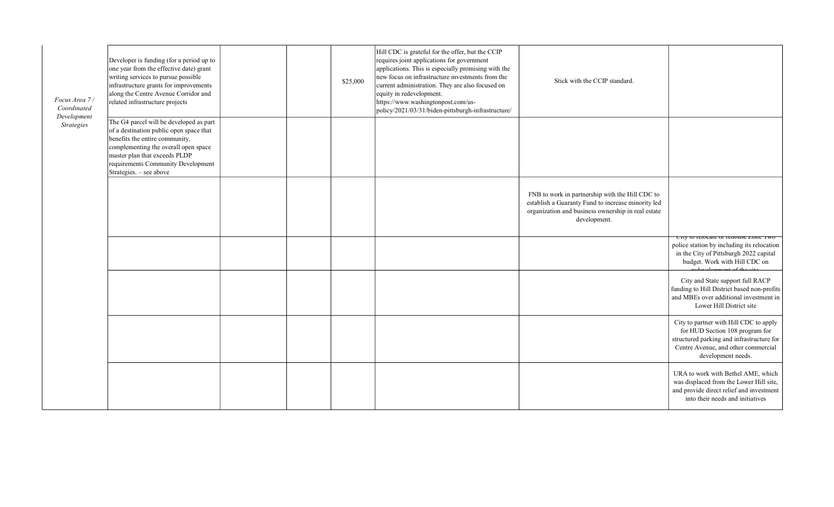| Focus Area 7 /<br>Coordinated<br>Development<br><b>Strategies</b> | Developer is funding (for a period up to<br>one year from the effective date) grant<br>writing services to pursue possible<br>infrastructure grants for improvements<br>along the Centre Avenue Corridor and<br>related infrastructure projects                |  | \$25,000 | Hill CDC is grateful for the offer, but the CCIP<br>requires joint applications for government<br>applications. This is especially promising with the<br>new focus on infrastructure investments from the<br>current administration. They are also focused on<br>equity in redevelopment.<br>https://www.washingtonpost.com/us-<br>policy/2021/03/31/biden-pittsburgh-infrastructure/ | Stick with the CCIP standard.                                                                                                                                               |                                                                                                                                                                                     |
|-------------------------------------------------------------------|----------------------------------------------------------------------------------------------------------------------------------------------------------------------------------------------------------------------------------------------------------------|--|----------|---------------------------------------------------------------------------------------------------------------------------------------------------------------------------------------------------------------------------------------------------------------------------------------------------------------------------------------------------------------------------------------|-----------------------------------------------------------------------------------------------------------------------------------------------------------------------------|-------------------------------------------------------------------------------------------------------------------------------------------------------------------------------------|
|                                                                   | The G4 parcel will be developed as part<br>of a destination public open space that<br>benefits the entire community,<br>complementing the overall open space<br>master plan that exceeds PLDP<br>requirements Community Development<br>Strategies. - see above |  |          |                                                                                                                                                                                                                                                                                                                                                                                       |                                                                                                                                                                             |                                                                                                                                                                                     |
|                                                                   |                                                                                                                                                                                                                                                                |  |          |                                                                                                                                                                                                                                                                                                                                                                                       | FNB to work in partnership with the Hill CDC to<br>establish a Guaranty Fund to increase minority led<br>organization and business ownership in real estate<br>development. | City to relocate or reliouse zone Two                                                                                                                                               |
|                                                                   |                                                                                                                                                                                                                                                                |  |          |                                                                                                                                                                                                                                                                                                                                                                                       |                                                                                                                                                                             | police station by including its relocation<br>in the City of Pittsburgh 2022 capital<br>budget. Work with Hill CDC on                                                               |
|                                                                   |                                                                                                                                                                                                                                                                |  |          |                                                                                                                                                                                                                                                                                                                                                                                       |                                                                                                                                                                             | City and State support full RACP<br>funding to Hill District based non-profits<br>and MBEs over additional investment in<br>Lower Hill District site                                |
|                                                                   |                                                                                                                                                                                                                                                                |  |          |                                                                                                                                                                                                                                                                                                                                                                                       |                                                                                                                                                                             | City to partner with Hill CDC to apply<br>for HUD Section 108 program for<br>structured parking and infrastructure for<br>Centre Avenue, and other commercial<br>development needs. |
|                                                                   |                                                                                                                                                                                                                                                                |  |          |                                                                                                                                                                                                                                                                                                                                                                                       |                                                                                                                                                                             | URA to work with Bethel AME, which<br>was displaced from the Lower Hill site,<br>and provide direct relief and investment<br>into their needs and initiatives                       |